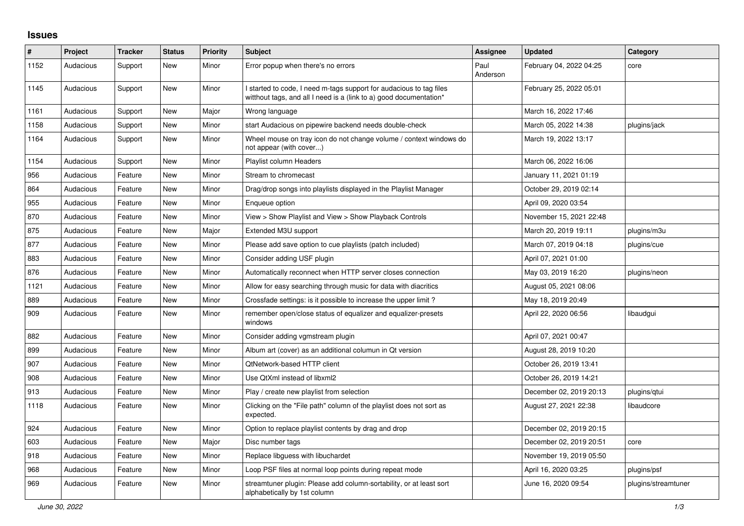## **Issues**

| ∦    | Project   | <b>Tracker</b> | <b>Status</b> | <b>Priority</b> | <b>Subject</b>                                                                                                                            | Assignee         | <b>Updated</b>          | Category            |
|------|-----------|----------------|---------------|-----------------|-------------------------------------------------------------------------------------------------------------------------------------------|------------------|-------------------------|---------------------|
| 1152 | Audacious | Support        | <b>New</b>    | Minor           | Error popup when there's no errors                                                                                                        | Paul<br>Anderson | February 04, 2022 04:25 | core                |
| 1145 | Audacious | Support        | New           | Minor           | I started to code, I need m-tags support for audacious to tag files<br>witthout tags, and all I need is a (link to a) good documentation* |                  | February 25, 2022 05:01 |                     |
| 1161 | Audacious | Support        | <b>New</b>    | Major           | Wrong language                                                                                                                            |                  | March 16, 2022 17:46    |                     |
| 1158 | Audacious | Support        | New           | Minor           | start Audacious on pipewire backend needs double-check                                                                                    |                  | March 05, 2022 14:38    | plugins/jack        |
| 1164 | Audacious | Support        | New           | Minor           | Wheel mouse on tray icon do not change volume / context windows do<br>not appear (with cover)                                             |                  | March 19, 2022 13:17    |                     |
| 1154 | Audacious | Support        | <b>New</b>    | Minor           | Playlist column Headers                                                                                                                   |                  | March 06, 2022 16:06    |                     |
| 956  | Audacious | Feature        | <b>New</b>    | Minor           | Stream to chromecast                                                                                                                      |                  | January 11, 2021 01:19  |                     |
| 864  | Audacious | Feature        | New           | Minor           | Drag/drop songs into playlists displayed in the Playlist Manager                                                                          |                  | October 29, 2019 02:14  |                     |
| 955  | Audacious | Feature        | New           | Minor           | Enqueue option                                                                                                                            |                  | April 09, 2020 03:54    |                     |
| 870  | Audacious | Feature        | <b>New</b>    | Minor           | View > Show Playlist and View > Show Playback Controls                                                                                    |                  | November 15, 2021 22:48 |                     |
| 875  | Audacious | Feature        | <b>New</b>    | Major           | Extended M3U support                                                                                                                      |                  | March 20, 2019 19:11    | plugins/m3u         |
| 877  | Audacious | Feature        | <b>New</b>    | Minor           | Please add save option to cue playlists (patch included)                                                                                  |                  | March 07, 2019 04:18    | plugins/cue         |
| 883  | Audacious | Feature        | New           | Minor           | Consider adding USF plugin                                                                                                                |                  | April 07, 2021 01:00    |                     |
| 876  | Audacious | Feature        | <b>New</b>    | Minor           | Automatically reconnect when HTTP server closes connection                                                                                |                  | May 03, 2019 16:20      | plugins/neon        |
| 1121 | Audacious | Feature        | <b>New</b>    | Minor           | Allow for easy searching through music for data with diacritics                                                                           |                  | August 05, 2021 08:06   |                     |
| 889  | Audacious | Feature        | <b>New</b>    | Minor           | Crossfade settings: is it possible to increase the upper limit?                                                                           |                  | May 18, 2019 20:49      |                     |
| 909  | Audacious | Feature        | New           | Minor           | remember open/close status of equalizer and equalizer-presets<br>windows                                                                  |                  | April 22, 2020 06:56    | libaudgui           |
| 882  | Audacious | Feature        | <b>New</b>    | Minor           | Consider adding vgmstream plugin                                                                                                          |                  | April 07, 2021 00:47    |                     |
| 899  | Audacious | Feature        | <b>New</b>    | Minor           | Album art (cover) as an additional columun in Qt version                                                                                  |                  | August 28, 2019 10:20   |                     |
| 907  | Audacious | Feature        | <b>New</b>    | Minor           | QtNetwork-based HTTP client                                                                                                               |                  | October 26, 2019 13:41  |                     |
| 908  | Audacious | Feature        | <b>New</b>    | Minor           | Use QtXml instead of libxml2                                                                                                              |                  | October 26, 2019 14:21  |                     |
| 913  | Audacious | Feature        | New           | Minor           | Play / create new playlist from selection                                                                                                 |                  | December 02, 2019 20:13 | plugins/gtui        |
| 1118 | Audacious | Feature        | New           | Minor           | Clicking on the "File path" column of the playlist does not sort as<br>expected.                                                          |                  | August 27, 2021 22:38   | libaudcore          |
| 924  | Audacious | Feature        | New           | Minor           | Option to replace playlist contents by drag and drop                                                                                      |                  | December 02, 2019 20:15 |                     |
| 603  | Audacious | Feature        | <b>New</b>    | Major           | Disc number tags                                                                                                                          |                  | December 02, 2019 20:51 | core                |
| 918  | Audacious | Feature        | <b>New</b>    | Minor           | Replace libguess with libuchardet                                                                                                         |                  | November 19, 2019 05:50 |                     |
| 968  | Audacious | Feature        | New           | Minor           | Loop PSF files at normal loop points during repeat mode                                                                                   |                  | April 16, 2020 03:25    | plugins/psf         |
| 969  | Audacious | Feature        | New           | Minor           | streamtuner plugin: Please add column-sortability, or at least sort<br>alphabetically by 1st column                                       |                  | June 16, 2020 09:54     | plugins/streamtuner |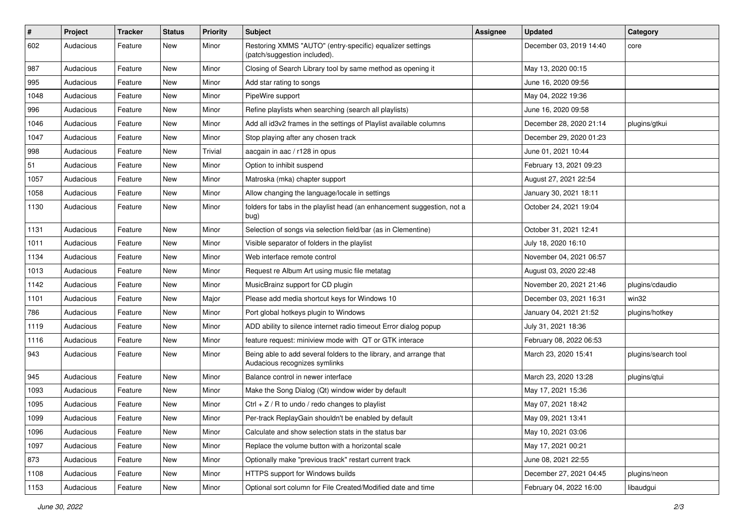| $\vert$ # | Project   | <b>Tracker</b> | <b>Status</b> | <b>Priority</b> | Subject                                                                                             | <b>Assignee</b> | <b>Updated</b>          | Category            |
|-----------|-----------|----------------|---------------|-----------------|-----------------------------------------------------------------------------------------------------|-----------------|-------------------------|---------------------|
| 602       | Audacious | Feature        | New           | Minor           | Restoring XMMS "AUTO" (entry-specific) equalizer settings<br>(patch/suggestion included).           |                 | December 03, 2019 14:40 | core                |
| 987       | Audacious | Feature        | New           | Minor           | Closing of Search Library tool by same method as opening it                                         |                 | May 13, 2020 00:15      |                     |
| 995       | Audacious | Feature        | New           | Minor           | Add star rating to songs                                                                            |                 | June 16, 2020 09:56     |                     |
| 1048      | Audacious | Feature        | <b>New</b>    | Minor           | PipeWire support                                                                                    |                 | May 04, 2022 19:36      |                     |
| 996       | Audacious | Feature        | New           | Minor           | Refine playlists when searching (search all playlists)                                              |                 | June 16, 2020 09:58     |                     |
| 1046      | Audacious | Feature        | New           | Minor           | Add all id3v2 frames in the settings of Playlist available columns                                  |                 | December 28, 2020 21:14 | plugins/gtkui       |
| 1047      | Audacious | Feature        | New           | Minor           | Stop playing after any chosen track                                                                 |                 | December 29, 2020 01:23 |                     |
| 998       | Audacious | Feature        | New           | Trivial         | aacgain in aac / r128 in opus                                                                       |                 | June 01, 2021 10:44     |                     |
| 51        | Audacious | Feature        | <b>New</b>    | Minor           | Option to inhibit suspend                                                                           |                 | February 13, 2021 09:23 |                     |
| 1057      | Audacious | Feature        | New           | Minor           | Matroska (mka) chapter support                                                                      |                 | August 27, 2021 22:54   |                     |
| 1058      | Audacious | Feature        | New           | Minor           | Allow changing the language/locale in settings                                                      |                 | January 30, 2021 18:11  |                     |
| 1130      | Audacious | Feature        | New           | Minor           | folders for tabs in the playlist head (an enhancement suggestion, not a<br>bug)                     |                 | October 24, 2021 19:04  |                     |
| 1131      | Audacious | Feature        | <b>New</b>    | Minor           | Selection of songs via selection field/bar (as in Clementine)                                       |                 | October 31, 2021 12:41  |                     |
| 1011      | Audacious | Feature        | New           | Minor           | Visible separator of folders in the playlist                                                        |                 | July 18, 2020 16:10     |                     |
| 1134      | Audacious | Feature        | New           | Minor           | Web interface remote control                                                                        |                 | November 04, 2021 06:57 |                     |
| 1013      | Audacious | Feature        | <b>New</b>    | Minor           | Request re Album Art using music file metatag                                                       |                 | August 03, 2020 22:48   |                     |
| 1142      | Audacious | Feature        | New           | Minor           | MusicBrainz support for CD plugin                                                                   |                 | November 20, 2021 21:46 | plugins/cdaudio     |
| 1101      | Audacious | Feature        | New           | Major           | Please add media shortcut keys for Windows 10                                                       |                 | December 03, 2021 16:31 | win32               |
| 786       | Audacious | Feature        | New           | Minor           | Port global hotkeys plugin to Windows                                                               |                 | January 04, 2021 21:52  | plugins/hotkey      |
| 1119      | Audacious | Feature        | New           | Minor           | ADD ability to silence internet radio timeout Error dialog popup                                    |                 | July 31, 2021 18:36     |                     |
| 1116      | Audacious | Feature        | <b>New</b>    | Minor           | feature request: miniview mode with QT or GTK interace                                              |                 | February 08, 2022 06:53 |                     |
| 943       | Audacious | Feature        | New           | Minor           | Being able to add several folders to the library, and arrange that<br>Audacious recognizes symlinks |                 | March 23, 2020 15:41    | plugins/search tool |
| 945       | Audacious | Feature        | New           | Minor           | Balance control in newer interface                                                                  |                 | March 23, 2020 13:28    | plugins/qtui        |
| 1093      | Audacious | Feature        | New           | Minor           | Make the Song Dialog (Qt) window wider by default                                                   |                 | May 17, 2021 15:36      |                     |
| 1095      | Audacious | Feature        | <b>New</b>    | Minor           | $Ctrl + Z / R$ to undo / redo changes to playlist                                                   |                 | May 07, 2021 18:42      |                     |
| 1099      | Audacious | Feature        | New           | Minor           | Per-track ReplayGain shouldn't be enabled by default                                                |                 | May 09, 2021 13:41      |                     |
| 1096      | Audacious | Feature        | New           | Minor           | Calculate and show selection stats in the status bar                                                |                 | May 10, 2021 03:06      |                     |
| 1097      | Audacious | Feature        | New           | Minor           | Replace the volume button with a horizontal scale                                                   |                 | May 17, 2021 00:21      |                     |
| 873       | Audacious | Feature        | New           | Minor           | Optionally make "previous track" restart current track                                              |                 | June 08, 2021 22:55     |                     |
| 1108      | Audacious | Feature        | New           | Minor           | HTTPS support for Windows builds                                                                    |                 | December 27, 2021 04:45 | plugins/neon        |
| 1153      | Audacious | Feature        | New           | Minor           | Optional sort column for File Created/Modified date and time                                        |                 | February 04, 2022 16:00 | libaudgui           |